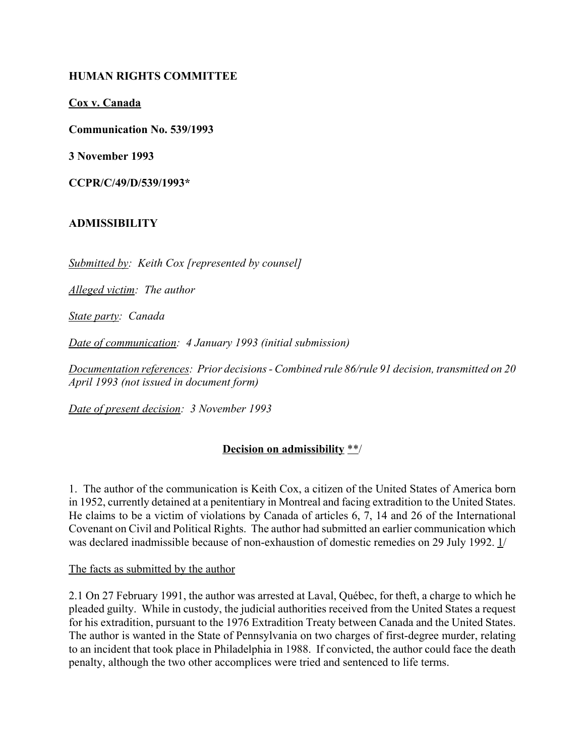### **HUMAN RIGHTS COMMITTEE**

**Cox v. Canada**

**Communication No. 539/1993**

**3 November 1993**

**CCPR/C/49/D/539/1993\***

#### **ADMISSIBILITY**

*Submitted by: Keith Cox [represented by counsel]*

*Alleged victim: The author*

*State party: Canada*

*Date of communication: 4 January 1993 (initial submission)*

*Documentation references: Prior decisions - Combined rule 86/rule 91 decision, transmitted on 20 April 1993 (not issued in document form)*

*Date of present decision: 3 November 1993*

## **Decision on admissibility** \*\*/

1. The author of the communication is Keith Cox, a citizen of the United States of America born in 1952, currently detained at a penitentiary in Montreal and facing extradition to the United States. He claims to be a victim of violations by Canada of articles 6, 7, 14 and 26 of the International Covenant on Civil and Political Rights. The author had submitted an earlier communication which was declared inadmissible because of non-exhaustion of domestic remedies on 29 July 1992. 1/

The facts as submitted by the author

2.1 On 27 February 1991, the author was arrested at Laval, Québec, for theft, a charge to which he pleaded guilty. While in custody, the judicial authorities received from the United States a request for his extradition, pursuant to the 1976 Extradition Treaty between Canada and the United States. The author is wanted in the State of Pennsylvania on two charges of first-degree murder, relating to an incident that took place in Philadelphia in 1988. If convicted, the author could face the death penalty, although the two other accomplices were tried and sentenced to life terms.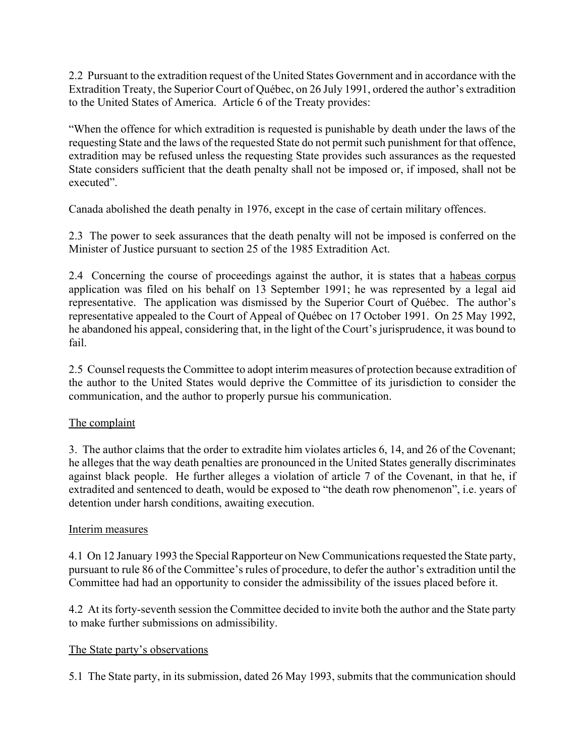2.2 Pursuant to the extradition request of the United States Government and in accordance with the Extradition Treaty, the Superior Court of Québec, on 26 July 1991, ordered the author's extradition to the United States of America. Article 6 of the Treaty provides:

ìWhen the offence for which extradition is requested is punishable by death under the laws of the requesting State and the laws of the requested State do not permit such punishment for that offence, extradition may be refused unless the requesting State provides such assurances as the requested State considers sufficient that the death penalty shall not be imposed or, if imposed, shall not be executed".

Canada abolished the death penalty in 1976, except in the case of certain military offences.

2.3 The power to seek assurances that the death penalty will not be imposed is conferred on the Minister of Justice pursuant to section 25 of the 1985 Extradition Act.

2.4 Concerning the course of proceedings against the author, it is states that a habeas corpus application was filed on his behalf on 13 September 1991; he was represented by a legal aid representative. The application was dismissed by the Superior Court of Québec. The author's representative appealed to the Court of Appeal of QuÈbec on 17 October 1991. On 25 May 1992, he abandoned his appeal, considering that, in the light of the Court's jurisprudence, it was bound to fail.

2.5 Counsel requests the Committee to adopt interim measures of protection because extradition of the author to the United States would deprive the Committee of its jurisdiction to consider the communication, and the author to properly pursue his communication.

## The complaint

3. The author claims that the order to extradite him violates articles 6, 14, and 26 of the Covenant; he alleges that the way death penalties are pronounced in the United States generally discriminates against black people. He further alleges a violation of article 7 of the Covenant, in that he, if extradited and sentenced to death, would be exposed to "the death row phenomenon", i.e. years of detention under harsh conditions, awaiting execution.

## Interim measures

4.1 On 12 January 1993 the Special Rapporteur on New Communications requested the State party, pursuant to rule 86 of the Committee's rules of procedure, to defer the author's extradition until the Committee had had an opportunity to consider the admissibility of the issues placed before it.

4.2 At its forty-seventh session the Committee decided to invite both the author and the State party to make further submissions on admissibility.

## The State party's observations

5.1 The State party, in its submission, dated 26 May 1993, submits that the communication should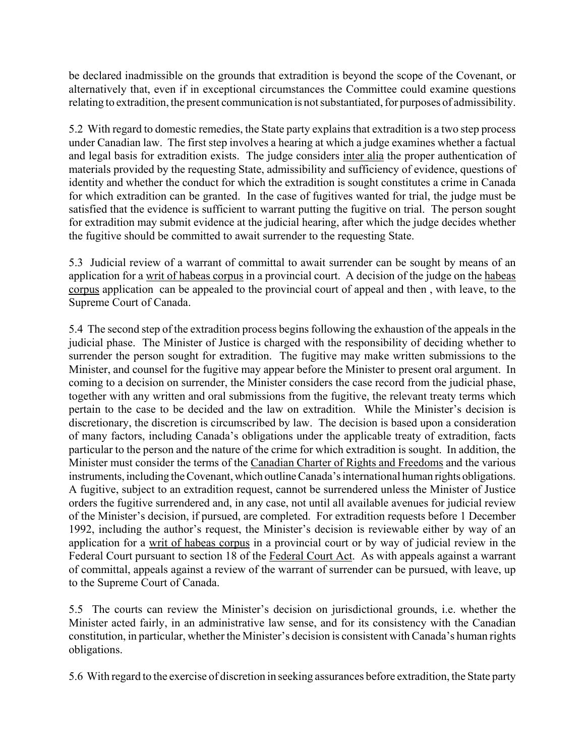be declared inadmissible on the grounds that extradition is beyond the scope of the Covenant, or alternatively that, even if in exceptional circumstances the Committee could examine questions relating to extradition, the present communication is not substantiated, for purposes of admissibility.

5.2 With regard to domestic remedies, the State party explains that extradition is a two step process under Canadian law. The first step involves a hearing at which a judge examines whether a factual and legal basis for extradition exists. The judge considers inter alia the proper authentication of materials provided by the requesting State, admissibility and sufficiency of evidence, questions of identity and whether the conduct for which the extradition is sought constitutes a crime in Canada for which extradition can be granted. In the case of fugitives wanted for trial, the judge must be satisfied that the evidence is sufficient to warrant putting the fugitive on trial. The person sought for extradition may submit evidence at the judicial hearing, after which the judge decides whether the fugitive should be committed to await surrender to the requesting State.

5.3 Judicial review of a warrant of committal to await surrender can be sought by means of an application for a writ of habeas corpus in a provincial court. A decision of the judge on the habeas corpus application can be appealed to the provincial court of appeal and then , with leave, to the Supreme Court of Canada.

5.4 The second step of the extradition process begins following the exhaustion of the appeals in the judicial phase. The Minister of Justice is charged with the responsibility of deciding whether to surrender the person sought for extradition. The fugitive may make written submissions to the Minister, and counsel for the fugitive may appear before the Minister to present oral argument. In coming to a decision on surrender, the Minister considers the case record from the judicial phase, together with any written and oral submissions from the fugitive, the relevant treaty terms which pertain to the case to be decided and the law on extradition. While the Minister's decision is discretionary, the discretion is circumscribed by law. The decision is based upon a consideration of many factors, including Canada's obligations under the applicable treaty of extradition, facts particular to the person and the nature of the crime for which extradition is sought. In addition, the Minister must consider the terms of the Canadian Charter of Rights and Freedoms and the various instruments, including the Covenant, which outline Canada's international human rights obligations. A fugitive, subject to an extradition request, cannot be surrendered unless the Minister of Justice orders the fugitive surrendered and, in any case, not until all available avenues for judicial review of the Minister's decision, if pursued, are completed. For extradition requests before 1 December 1992, including the author's request, the Minister's decision is reviewable either by way of an application for a writ of habeas corpus in a provincial court or by way of judicial review in the Federal Court pursuant to section 18 of the Federal Court Act. As with appeals against a warrant of committal, appeals against a review of the warrant of surrender can be pursued, with leave, up to the Supreme Court of Canada.

5.5 The courts can review the Minister's decision on jurisdictional grounds, i.e. whether the Minister acted fairly, in an administrative law sense, and for its consistency with the Canadian constitution, in particular, whether the Minister's decision is consistent with Canada's human rights obligations.

5.6 With regard to the exercise of discretion in seeking assurances before extradition, the State party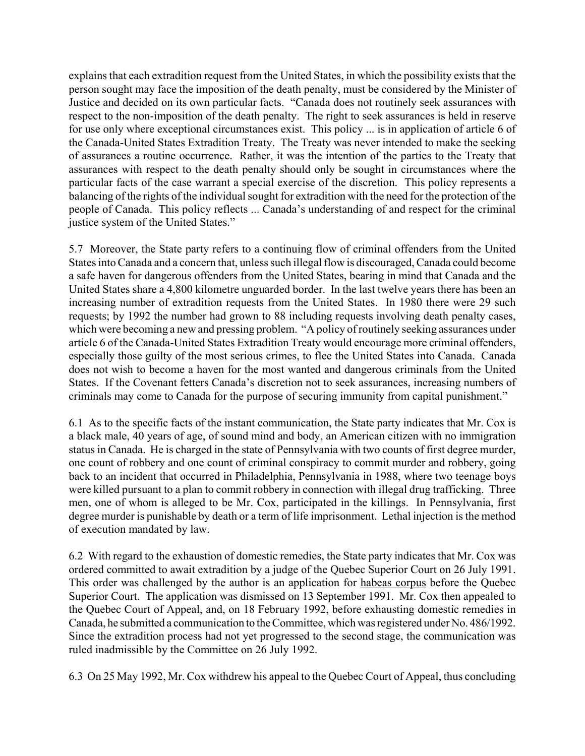explains that each extradition request from the United States, in which the possibility exists that the person sought may face the imposition of the death penalty, must be considered by the Minister of Justice and decided on its own particular facts. "Canada does not routinely seek assurances with respect to the non-imposition of the death penalty. The right to seek assurances is held in reserve for use only where exceptional circumstances exist. This policy ... is in application of article 6 of the Canada-United States Extradition Treaty. The Treaty was never intended to make the seeking of assurances a routine occurrence. Rather, it was the intention of the parties to the Treaty that assurances with respect to the death penalty should only be sought in circumstances where the particular facts of the case warrant a special exercise of the discretion. This policy represents a balancing of the rights of the individual sought for extradition with the need for the protection of the people of Canada. This policy reflects ... Canada's understanding of and respect for the criminal justice system of the United States."

5.7 Moreover, the State party refers to a continuing flow of criminal offenders from the United States into Canada and a concern that, unless such illegal flow is discouraged, Canada could become a safe haven for dangerous offenders from the United States, bearing in mind that Canada and the United States share a 4,800 kilometre unguarded border. In the last twelve years there has been an increasing number of extradition requests from the United States. In 1980 there were 29 such requests; by 1992 the number had grown to 88 including requests involving death penalty cases, which were becoming a new and pressing problem. "A policy of routinely seeking assurances under article 6 of the Canada-United States Extradition Treaty would encourage more criminal offenders, especially those guilty of the most serious crimes, to flee the United States into Canada. Canada does not wish to become a haven for the most wanted and dangerous criminals from the United States. If the Covenant fetters Canada's discretion not to seek assurances, increasing numbers of criminals may come to Canada for the purpose of securing immunity from capital punishment.<sup>"</sup>

6.1 As to the specific facts of the instant communication, the State party indicates that Mr. Cox is a black male, 40 years of age, of sound mind and body, an American citizen with no immigration status in Canada. He is charged in the state of Pennsylvania with two counts of first degree murder, one count of robbery and one count of criminal conspiracy to commit murder and robbery, going back to an incident that occurred in Philadelphia, Pennsylvania in 1988, where two teenage boys were killed pursuant to a plan to commit robbery in connection with illegal drug trafficking. Three men, one of whom is alleged to be Mr. Cox, participated in the killings. In Pennsylvania, first degree murder is punishable by death or a term of life imprisonment. Lethal injection is the method of execution mandated by law.

6.2 With regard to the exhaustion of domestic remedies, the State party indicates that Mr. Cox was ordered committed to await extradition by a judge of the Quebec Superior Court on 26 July 1991. This order was challenged by the author is an application for habeas corpus before the Quebec Superior Court. The application was dismissed on 13 September 1991. Mr. Cox then appealed to the Quebec Court of Appeal, and, on 18 February 1992, before exhausting domestic remedies in Canada, he submitted a communication to the Committee, which was registered under No. 486/1992. Since the extradition process had not yet progressed to the second stage, the communication was ruled inadmissible by the Committee on 26 July 1992.

6.3 On 25 May 1992, Mr. Cox withdrew his appeal to the Quebec Court of Appeal, thus concluding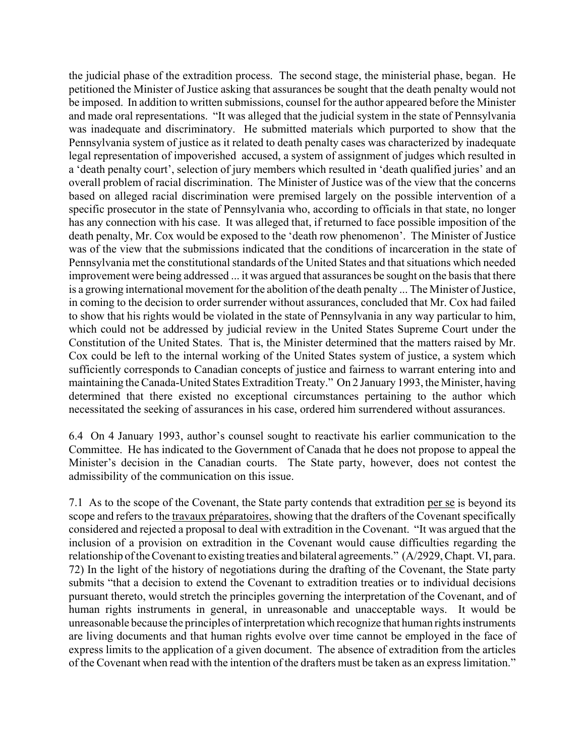the judicial phase of the extradition process. The second stage, the ministerial phase, began. He petitioned the Minister of Justice asking that assurances be sought that the death penalty would not be imposed. In addition to written submissions, counsel for the author appeared before the Minister and made oral representations. "It was alleged that the judicial system in the state of Pennsylvania was inadequate and discriminatory. He submitted materials which purported to show that the Pennsylvania system of justice as it related to death penalty cases was characterized by inadequate legal representation of impoverished accused, a system of assignment of judges which resulted in a 'death penalty court', selection of jury members which resulted in 'death qualified juries' and an overall problem of racial discrimination. The Minister of Justice was of the view that the concerns based on alleged racial discrimination were premised largely on the possible intervention of a specific prosecutor in the state of Pennsylvania who, according to officials in that state, no longer has any connection with his case. It was alleged that, if returned to face possible imposition of the death penalty, Mr. Cox would be exposed to the 'death row phenomenon'. The Minister of Justice was of the view that the submissions indicated that the conditions of incarceration in the state of Pennsylvania met the constitutional standards of the United States and that situations which needed improvement were being addressed ... it was argued that assurances be sought on the basis that there is a growing international movement for the abolition of the death penalty ... The Minister of Justice, in coming to the decision to order surrender without assurances, concluded that Mr. Cox had failed to show that his rights would be violated in the state of Pennsylvania in any way particular to him, which could not be addressed by judicial review in the United States Supreme Court under the Constitution of the United States. That is, the Minister determined that the matters raised by Mr. Cox could be left to the internal working of the United States system of justice, a system which sufficiently corresponds to Canadian concepts of justice and fairness to warrant entering into and maintaining the Canada-United States Extradition Treaty." On 2 January 1993, the Minister, having determined that there existed no exceptional circumstances pertaining to the author which necessitated the seeking of assurances in his case, ordered him surrendered without assurances.

6.4 On 4 January 1993, author's counsel sought to reactivate his earlier communication to the Committee. He has indicated to the Government of Canada that he does not propose to appeal the Minister's decision in the Canadian courts. The State party, however, does not contest the admissibility of the communication on this issue.

7.1 As to the scope of the Covenant, the State party contends that extradition per se is beyond its scope and refers to the travaux préparatoires, showing that the drafters of the Covenant specifically considered and rejected a proposal to deal with extradition in the Covenant. "It was argued that the inclusion of a provision on extradition in the Covenant would cause difficulties regarding the relationship of the Covenant to existing treaties and bilateral agreements." (A/2929, Chapt. VI, para. 72) In the light of the history of negotiations during the drafting of the Covenant, the State party submits "that a decision to extend the Covenant to extradition treaties or to individual decisions pursuant thereto, would stretch the principles governing the interpretation of the Covenant, and of human rights instruments in general, in unreasonable and unacceptable ways. It would be unreasonable because the principles of interpretation which recognize that human rights instruments are living documents and that human rights evolve over time cannot be employed in the face of express limits to the application of a given document. The absence of extradition from the articles of the Covenant when read with the intention of the drafters must be taken as an express limitation."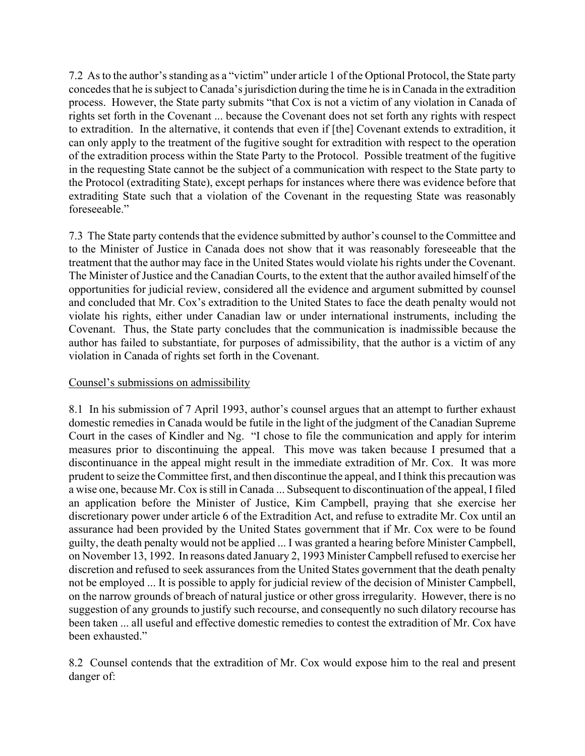7.2 As to the author's standing as a "victim" under article 1 of the Optional Protocol, the State party concedes that he is subject to Canada's jurisdiction during the time he is in Canada in the extradition process. However, the State party submits "that Cox is not a victim of any violation in Canada of rights set forth in the Covenant ... because the Covenant does not set forth any rights with respect to extradition. In the alternative, it contends that even if [the] Covenant extends to extradition, it can only apply to the treatment of the fugitive sought for extradition with respect to the operation of the extradition process within the State Party to the Protocol. Possible treatment of the fugitive in the requesting State cannot be the subject of a communication with respect to the State party to the Protocol (extraditing State), except perhaps for instances where there was evidence before that extraditing State such that a violation of the Covenant in the requesting State was reasonably foreseeable."

7.3 The State party contends that the evidence submitted by author's counsel to the Committee and to the Minister of Justice in Canada does not show that it was reasonably foreseeable that the treatment that the author may face in the United States would violate his rights under the Covenant. The Minister of Justice and the Canadian Courts, to the extent that the author availed himself of the opportunities for judicial review, considered all the evidence and argument submitted by counsel and concluded that Mr. Cox's extradition to the United States to face the death penalty would not violate his rights, either under Canadian law or under international instruments, including the Covenant. Thus, the State party concludes that the communication is inadmissible because the author has failed to substantiate, for purposes of admissibility, that the author is a victim of any violation in Canada of rights set forth in the Covenant.

### Counsel's submissions on admissibility

8.1 In his submission of 7 April 1993, author's counsel argues that an attempt to further exhaust domestic remedies in Canada would be futile in the light of the judgment of the Canadian Supreme Court in the cases of Kindler and Ng. "I chose to file the communication and apply for interim measures prior to discontinuing the appeal. This move was taken because I presumed that a discontinuance in the appeal might result in the immediate extradition of Mr. Cox. It was more prudent to seize the Committee first, and then discontinue the appeal, and I think this precaution was a wise one, because Mr. Cox is still in Canada ... Subsequent to discontinuation of the appeal, I filed an application before the Minister of Justice, Kim Campbell, praying that she exercise her discretionary power under article 6 of the Extradition Act, and refuse to extradite Mr. Cox until an assurance had been provided by the United States government that if Mr. Cox were to be found guilty, the death penalty would not be applied ... I was granted a hearing before Minister Campbell, on November 13, 1992. In reasons dated January 2, 1993 Minister Campbell refused to exercise her discretion and refused to seek assurances from the United States government that the death penalty not be employed ... It is possible to apply for judicial review of the decision of Minister Campbell, on the narrow grounds of breach of natural justice or other gross irregularity. However, there is no suggestion of any grounds to justify such recourse, and consequently no such dilatory recourse has been taken ... all useful and effective domestic remedies to contest the extradition of Mr. Cox have been exhausted."

8.2 Counsel contends that the extradition of Mr. Cox would expose him to the real and present danger of: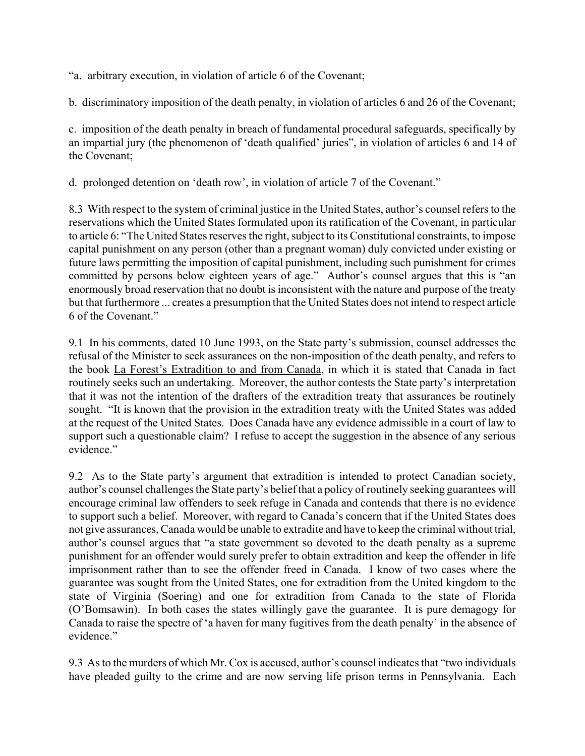ìa. arbitrary execution, in violation of article 6 of the Covenant;

b. discriminatory imposition of the death penalty, in violation of articles 6 and 26 of the Covenant;

c. imposition of the death penalty in breach of fundamental procedural safeguards, specifically by an impartial jury (the phenomenon of 'death qualified' juries", in violation of articles 6 and 14 of the Covenant;

d. prolonged detention on 'death row', in violation of article 7 of the Covenant."

8.3 With respect to the system of criminal justice in the United States, author's counsel refers to the reservations which the United States formulated upon its ratification of the Covenant, in particular to article 6: "The United States reserves the right, subject to its Constitutional constraints, to impose capital punishment on any person (other than a pregnant woman) duly convicted under existing or future laws permitting the imposition of capital punishment, including such punishment for crimes committed by persons below eighteen years of age." Author's counsel argues that this is "an enormously broad reservation that no doubt is inconsistent with the nature and purpose of the treaty but that furthermore ... creates a presumption that the United States does not intend to respect article 6 of the Covenant."

9.1 In his comments, dated 10 June 1993, on the State party's submission, counsel addresses the refusal of the Minister to seek assurances on the non-imposition of the death penalty, and refers to the book La Forest's Extradition to and from Canada, in which it is stated that Canada in fact routinely seeks such an undertaking. Moreover, the author contests the State party's interpretation that it was not the intention of the drafters of the extradition treaty that assurances be routinely sought. "It is known that the provision in the extradition treaty with the United States was added at the request of the United States. Does Canada have any evidence admissible in a court of law to support such a questionable claim? I refuse to accept the suggestion in the absence of any serious evidence."

9.2 As to the State party's argument that extradition is intended to protect Canadian society, author's counsel challenges the State party's belief that a policy of routinely seeking guarantees will encourage criminal law offenders to seek refuge in Canada and contends that there is no evidence to support such a belief. Moreover, with regard to Canada's concern that if the United States does not give assurances, Canada would be unable to extradite and have to keep the criminal without trial, author's counsel argues that "a state government so devoted to the death penalty as a supreme punishment for an offender would surely prefer to obtain extradition and keep the offender in life imprisonment rather than to see the offender freed in Canada. I know of two cases where the guarantee was sought from the United States, one for extradition from the United kingdom to the state of Virginia (Soering) and one for extradition from Canada to the state of Florida (OíBomsawin). In both cases the states willingly gave the guarantee. It is pure demagogy for Canada to raise the spectre of 'a haven for many fugitives from the death penalty' in the absence of evidence."

9.3 As to the murders of which Mr. Cox is accused, author's counsel indicates that "two individuals" have pleaded guilty to the crime and are now serving life prison terms in Pennsylvania. Each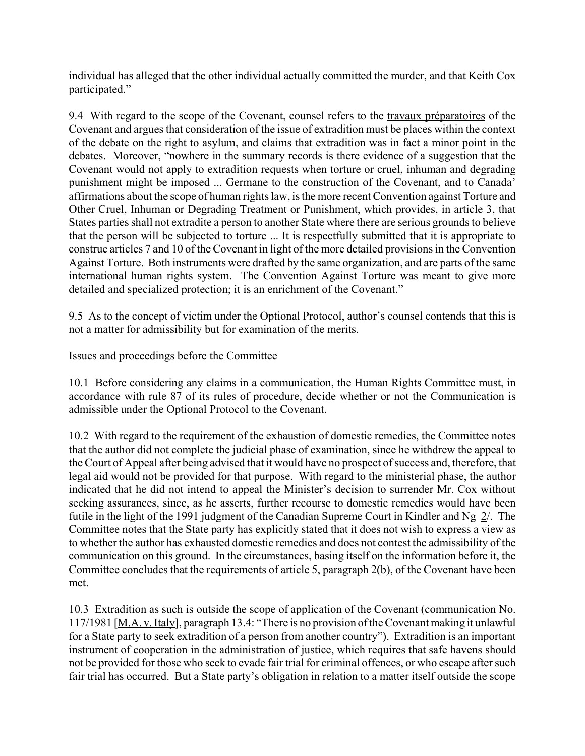individual has alleged that the other individual actually committed the murder, and that Keith Cox participated."

9.4 With regard to the scope of the Covenant, counsel refers to the travaux préparatoires of the Covenant and argues that consideration of the issue of extradition must be places within the context of the debate on the right to asylum, and claims that extradition was in fact a minor point in the debates. Moreover, "nowhere in the summary records is there evidence of a suggestion that the Covenant would not apply to extradition requests when torture or cruel, inhuman and degrading punishment might be imposed ... Germane to the construction of the Covenant, and to Canada<sup>7</sup> affirmations about the scope of human rights law, is the more recent Convention against Torture and Other Cruel, Inhuman or Degrading Treatment or Punishment, which provides, in article 3, that States parties shall not extradite a person to another State where there are serious grounds to believe that the person will be subjected to torture ... It is respectfully submitted that it is appropriate to construe articles 7 and 10 of the Covenant in light of the more detailed provisions in the Convention Against Torture. Both instruments were drafted by the same organization, and are parts of the same international human rights system. The Convention Against Torture was meant to give more detailed and specialized protection; it is an enrichment of the Covenant."

9.5 As to the concept of victim under the Optional Protocol, author's counsel contends that this is not a matter for admissibility but for examination of the merits.

#### Issues and proceedings before the Committee

10.1 Before considering any claims in a communication, the Human Rights Committee must, in accordance with rule 87 of its rules of procedure, decide whether or not the Communication is admissible under the Optional Protocol to the Covenant.

10.2 With regard to the requirement of the exhaustion of domestic remedies, the Committee notes that the author did not complete the judicial phase of examination, since he withdrew the appeal to the Court of Appeal after being advised that it would have no prospect of success and, therefore, that legal aid would not be provided for that purpose. With regard to the ministerial phase, the author indicated that he did not intend to appeal the Minister's decision to surrender Mr. Cox without seeking assurances, since, as he asserts, further recourse to domestic remedies would have been futile in the light of the 1991 judgment of the Canadian Supreme Court in Kindler and Ng 2/. The Committee notes that the State party has explicitly stated that it does not wish to express a view as to whether the author has exhausted domestic remedies and does not contest the admissibility of the communication on this ground. In the circumstances, basing itself on the information before it, the Committee concludes that the requirements of article 5, paragraph 2(b), of the Covenant have been met.

10.3 Extradition as such is outside the scope of application of the Covenant (communication No. 117/1981 [ $M.A. v.$  Italy], paragraph 13.4: "There is no provision of the Covenant making it unlawful for a State party to seek extradition of a person from another country"). Extradition is an important instrument of cooperation in the administration of justice, which requires that safe havens should not be provided for those who seek to evade fair trial for criminal offences, or who escape after such fair trial has occurred. But a State party's obligation in relation to a matter itself outside the scope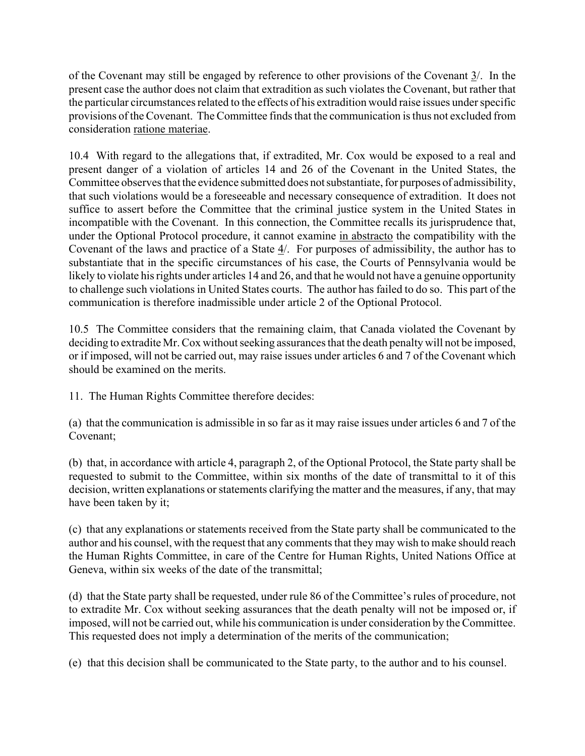of the Covenant may still be engaged by reference to other provisions of the Covenant  $\frac{3}{2}$ . In the present case the author does not claim that extradition as such violates the Covenant, but rather that the particular circumstances related to the effects of his extradition would raise issues under specific provisions of the Covenant. The Committee finds that the communication is thus not excluded from consideration ratione materiae.

10.4 With regard to the allegations that, if extradited, Mr. Cox would be exposed to a real and present danger of a violation of articles 14 and 26 of the Covenant in the United States, the Committee observes that the evidence submitted does not substantiate, for purposes of admissibility, that such violations would be a foreseeable and necessary consequence of extradition. It does not suffice to assert before the Committee that the criminal justice system in the United States in incompatible with the Covenant. In this connection, the Committee recalls its jurisprudence that, under the Optional Protocol procedure, it cannot examine in abstracto the compatibility with the Covenant of the laws and practice of a State 4/. For purposes of admissibility, the author has to substantiate that in the specific circumstances of his case, the Courts of Pennsylvania would be likely to violate his rights under articles 14 and 26, and that he would not have a genuine opportunity to challenge such violations in United States courts. The author has failed to do so. This part of the communication is therefore inadmissible under article 2 of the Optional Protocol.

10.5 The Committee considers that the remaining claim, that Canada violated the Covenant by deciding to extradite Mr. Cox without seeking assurances that the death penalty will not be imposed, or if imposed, will not be carried out, may raise issues under articles 6 and 7 of the Covenant which should be examined on the merits.

11. The Human Rights Committee therefore decides:

(a) that the communication is admissible in so far as it may raise issues under articles 6 and 7 of the Covenant;

(b) that, in accordance with article 4, paragraph 2, of the Optional Protocol, the State party shall be requested to submit to the Committee, within six months of the date of transmittal to it of this decision, written explanations or statements clarifying the matter and the measures, if any, that may have been taken by it;

(c) that any explanations or statements received from the State party shall be communicated to the author and his counsel, with the request that any comments that they may wish to make should reach the Human Rights Committee, in care of the Centre for Human Rights, United Nations Office at Geneva, within six weeks of the date of the transmittal;

(d) that the State party shall be requested, under rule 86 of the Committeeís rules of procedure, not to extradite Mr. Cox without seeking assurances that the death penalty will not be imposed or, if imposed, will not be carried out, while his communication is under consideration by the Committee. This requested does not imply a determination of the merits of the communication;

(e) that this decision shall be communicated to the State party, to the author and to his counsel.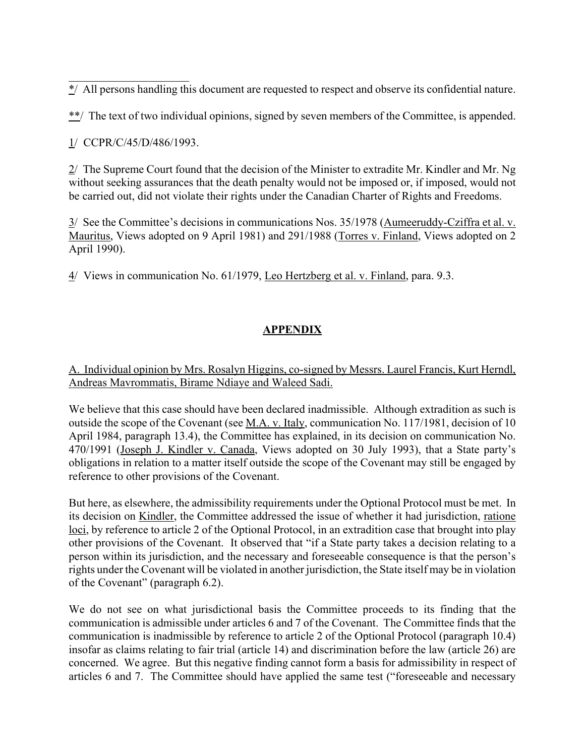\*/ All persons handling this document are requested to respect and observe its confidential nature.

\*\*/ The text of two individual opinions, signed by seven members of the Committee, is appended.

1/ CCPR/C/45/D/486/1993.

 $\mathcal{L}_\text{max}$  , where  $\mathcal{L}_\text{max}$  , we have the set of the set of the set of the set of the set of the set of the set of the set of the set of the set of the set of the set of the set of the set of the set of the set of

2/ The Supreme Court found that the decision of the Minister to extradite Mr. Kindler and Mr. Ng without seeking assurances that the death penalty would not be imposed or, if imposed, would not be carried out, did not violate their rights under the Canadian Charter of Rights and Freedoms.

 $3/$  See the Committee's decisions in communications Nos. 35/1978 (Aumeeruddy-Cziffra et al. v. Mauritus, Views adopted on 9 April 1981) and 291/1988 (Torres v. Finland, Views adopted on 2 April 1990).

4/ Views in communication No. 61/1979, Leo Hertzberg et al. v. Finland, para. 9.3.

# **APPENDIX**

## A. Individual opinion by Mrs. Rosalyn Higgins, co-signed by Messrs. Laurel Francis, Kurt Herndl, Andreas Mavrommatis, Birame Ndiaye and Waleed Sadi.

We believe that this case should have been declared inadmissible. Although extradition as such is outside the scope of the Covenant (see M.A. v. Italy, communication No. 117/1981, decision of 10 April 1984, paragraph 13.4), the Committee has explained, in its decision on communication No. 470/1991 (Joseph J. Kindler v. Canada, Views adopted on 30 July 1993), that a State party's obligations in relation to a matter itself outside the scope of the Covenant may still be engaged by reference to other provisions of the Covenant.

But here, as elsewhere, the admissibility requirements under the Optional Protocol must be met. In its decision on Kindler, the Committee addressed the issue of whether it had jurisdiction, ratione loci, by reference to article 2 of the Optional Protocol, in an extradition case that brought into play other provisions of the Covenant. It observed that "if a State party takes a decision relating to a person within its jurisdiction, and the necessary and foreseeable consequence is that the person's rights under the Covenant will be violated in another jurisdiction, the State itself may be in violation of the Covenant" (paragraph  $6.2$ ).

We do not see on what jurisdictional basis the Committee proceeds to its finding that the communication is admissible under articles 6 and 7 of the Covenant. The Committee finds that the communication is inadmissible by reference to article 2 of the Optional Protocol (paragraph 10.4) insofar as claims relating to fair trial (article 14) and discrimination before the law (article 26) are concerned. We agree. But this negative finding cannot form a basis for admissibility in respect of articles 6 and 7. The Committee should have applied the same test ("foreseeable and necessary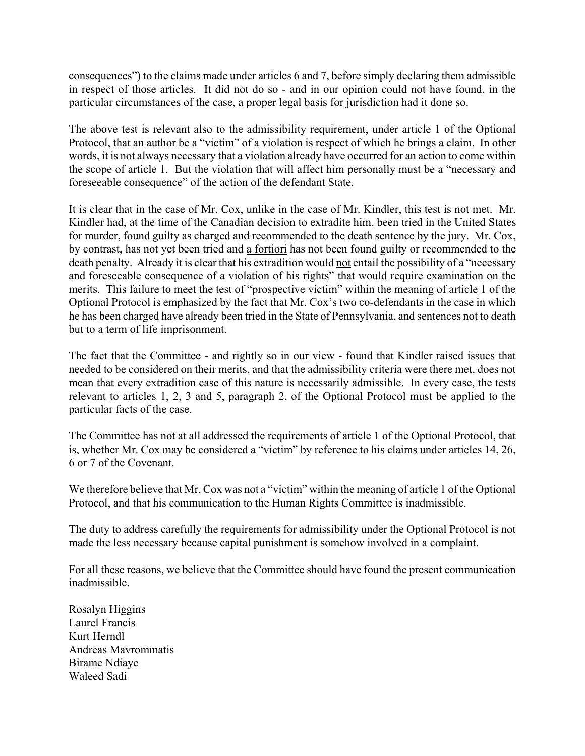consequencesî) to the claims made under articles 6 and 7, before simply declaring them admissible in respect of those articles. It did not do so - and in our opinion could not have found, in the particular circumstances of the case, a proper legal basis for jurisdiction had it done so.

The above test is relevant also to the admissibility requirement, under article 1 of the Optional Protocol, that an author be a "victim" of a violation is respect of which he brings a claim. In other words, it is not always necessary that a violation already have occurred for an action to come within the scope of article 1. But the violation that will affect him personally must be a "necessary and foreseeable consequence" of the action of the defendant State.

It is clear that in the case of Mr. Cox, unlike in the case of Mr. Kindler, this test is not met. Mr. Kindler had, at the time of the Canadian decision to extradite him, been tried in the United States for murder, found guilty as charged and recommended to the death sentence by the jury. Mr. Cox, by contrast, has not yet been tried and a fortiori has not been found guilty or recommended to the death penalty. Already it is clear that his extradition would not entail the possibility of a "necessary" and foreseeable consequence of a violation of his rights" that would require examination on the merits. This failure to meet the test of "prospective victim" within the meaning of article 1 of the Optional Protocol is emphasized by the fact that Mr. Cox's two co-defendants in the case in which he has been charged have already been tried in the State of Pennsylvania, and sentences not to death but to a term of life imprisonment.

The fact that the Committee - and rightly so in our view - found that Kindler raised issues that needed to be considered on their merits, and that the admissibility criteria were there met, does not mean that every extradition case of this nature is necessarily admissible. In every case, the tests relevant to articles 1, 2, 3 and 5, paragraph 2, of the Optional Protocol must be applied to the particular facts of the case.

The Committee has not at all addressed the requirements of article 1 of the Optional Protocol, that is, whether Mr. Cox may be considered a "victim" by reference to his claims under articles 14, 26, 6 or 7 of the Covenant.

We therefore believe that Mr. Cox was not a "victim" within the meaning of article 1 of the Optional Protocol, and that his communication to the Human Rights Committee is inadmissible.

The duty to address carefully the requirements for admissibility under the Optional Protocol is not made the less necessary because capital punishment is somehow involved in a complaint.

For all these reasons, we believe that the Committee should have found the present communication inadmissible.

Rosalyn Higgins Laurel Francis Kurt Herndl Andreas Mavrommatis Birame Ndiaye Waleed Sadi